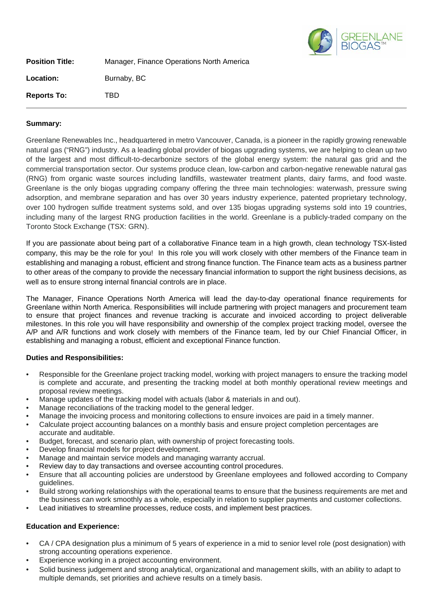

| <b>Position Title:</b> | Manager, Finance Operations North America |  |
|------------------------|-------------------------------------------|--|
| <b>Location:</b>       | Burnaby, BC                               |  |
| <b>Reports To:</b>     | TBD                                       |  |

## **Summary:**

Greenlane Renewables Inc., headquartered in metro Vancouver, Canada, is a pioneer in the rapidly growing renewable natural gas ("RNG") industry. As a leading global provider of biogas upgrading systems, we are helping to clean up two of the largest and most difficult-to-decarbonize sectors of the global energy system: the natural gas grid and the commercial transportation sector. Our systems produce clean, low-carbon and carbon-negative renewable natural gas (RNG) from organic waste sources including landfills, wastewater treatment plants, dairy farms, and food waste. Greenlane is the only biogas upgrading company offering the three main technologies: waterwash, pressure swing adsorption, and membrane separation and has over 30 years industry experience, patented proprietary technology, over 100 hydrogen sulfide treatment systems sold, and over 135 biogas upgrading systems sold into 19 countries, including many of the largest RNG production facilities in the world. Greenlane is a publicly-traded company on the Toronto Stock Exchange (TSX: GRN).

If you are passionate about being part of a collaborative Finance team in a high growth, clean technology TSX-listed company, this may be the role for you! In this role you will work closely with other members of the Finance team in establishing and managing a robust, efficient and strong finance function. The Finance team acts as a business partner to other areas of the company to provide the necessary financial information to support the right business decisions, as well as to ensure strong internal financial controls are in place.

The Manager, Finance Operations North America will lead the day-to-day operational finance requirements for Greenlane within North America. Responsibilities will include partnering with project managers and procurement team to ensure that project finances and revenue tracking is accurate and invoiced according to project deliverable milestones. In this role you will have responsibility and ownership of the complex project tracking model, oversee the A/P and A/R functions and work closely with members of the Finance team, led by our Chief Financial Officer, in establishing and managing a robust, efficient and exceptional Finance function.

## **Duties and Responsibilities:**

- Responsible for the Greenlane project tracking model, working with project managers to ensure the tracking model is complete and accurate, and presenting the tracking model at both monthly operational review meetings and proposal review meetings.
- Manage updates of the tracking model with actuals (labor & materials in and out).
- Manage reconciliations of the tracking model to the general ledger.
- Manage the invoicing process and monitoring collections to ensure invoices are paid in a timely manner.
- Calculate project accounting balances on a monthly basis and ensure project completion percentages are accurate and auditable.
- Budget, forecast, and scenario plan, with ownership of project forecasting tools.
- Develop financial models for project development.
- Manage and maintain service models and managing warranty accrual.
- Review day to day transactions and oversee accounting control procedures.
- Ensure that all accounting policies are understood by Greenlane employees and followed according to Company guidelines.
- Build strong working relationships with the operational teams to ensure that the business requirements are met and the business can work smoothly as a whole, especially in relation to supplier payments and customer collections.
- Lead initiatives to streamline processes, reduce costs, and implement best practices.

## **Education and Experience:**

- CA / CPA designation plus a minimum of 5 years of experience in a mid to senior level role (post designation) with strong accounting operations experience.
- Experience working in a project accounting environment.
- Solid business judgement and strong analytical, organizational and management skills, with an ability to adapt to multiple demands, set priorities and achieve results on a timely basis.